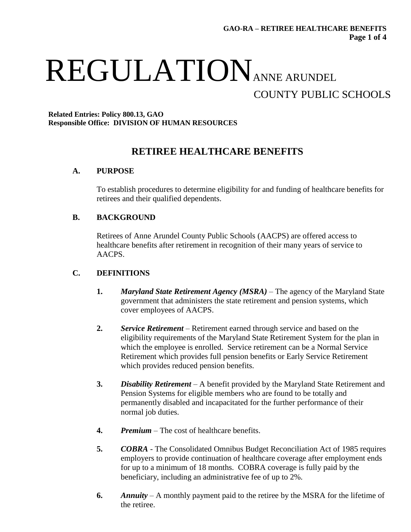# REGULATIONANNE ARUNDEL COUNTY PUBLIC SCHOOLS

#### **Related Entries: Policy 800.13, GAO Responsible Office: DIVISION OF HUMAN RESOURCES**

## **RETIREE HEALTHCARE BENEFITS**

### **A. PURPOSE**

To establish procedures to determine eligibility for and funding of healthcare benefits for retirees and their qualified dependents.

### **B. BACKGROUND**

Retirees of Anne Arundel County Public Schools (AACPS) are offered access to healthcare benefits after retirement in recognition of their many years of service to AACPS.

#### **C. DEFINITIONS**

- **1.** *Maryland State Retirement Agency (MSRA)* The agency of the Maryland State government that administers the state retirement and pension systems, which cover employees of AACPS.
- **2.** *Service Retirement* Retirement earned through service and based on the eligibility requirements of the Maryland State Retirement System for the plan in which the employee is enrolled. Service retirement can be a Normal Service Retirement which provides full pension benefits or Early Service Retirement which provides reduced pension benefits.
- **3.** *Disability Retirement* A benefit provided by the Maryland State Retirement and Pension Systems for eligible members who are found to be totally and permanently disabled and incapacitated for the further performance of their normal job duties.
- **4.** *Premium* The cost of healthcare benefits.
- **5.** *COBRA* The Consolidated Omnibus Budget Reconciliation Act of 1985 requires employers to provide continuation of healthcare coverage after employment ends for up to a minimum of 18 months. COBRA coverage is fully paid by the beneficiary, including an administrative fee of up to 2%.
- **6.** *Annuity* A monthly payment paid to the retiree by the MSRA for the lifetime of the retiree.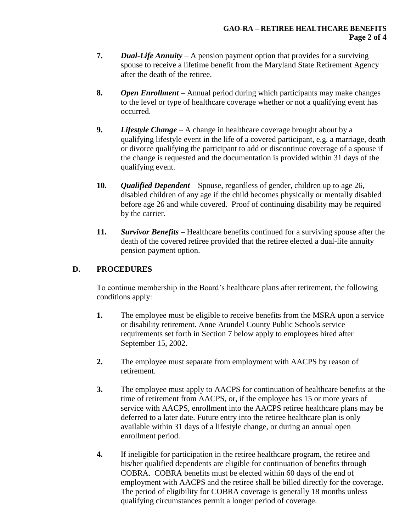- **7.** *Dual-Life Annuity* A pension payment option that provides for a surviving spouse to receive a lifetime benefit from the Maryland State Retirement Agency after the death of the retiree.
- **8.** *Open Enrollment* Annual period during which participants may make changes to the level or type of healthcare coverage whether or not a qualifying event has occurred.
- **9.** *Lifestyle Change* A change in healthcare coverage brought about by a qualifying lifestyle event in the life of a covered participant, e.g. a marriage, death or divorce qualifying the participant to add or discontinue coverage of a spouse if the change is requested and the documentation is provided within 31 days of the qualifying event.
- **10.** *Qualified Dependent* Spouse, regardless of gender, children up to age 26, disabled children of any age if the child becomes physically or mentally disabled before age 26 and while covered. Proof of continuing disability may be required by the carrier.
- **11.** *Survivor Benefits* Healthcare benefits continued for a surviving spouse after the death of the covered retiree provided that the retiree elected a dual-life annuity pension payment option.

#### **D. PROCEDURES**

To continue membership in the Board's healthcare plans after retirement, the following conditions apply:

- **1.** The employee must be eligible to receive benefits from the MSRA upon a service or disability retirement. Anne Arundel County Public Schools service requirements set forth in Section 7 below apply to employees hired after September 15, 2002.
- **2.** The employee must separate from employment with AACPS by reason of retirement.
- **3.** The employee must apply to AACPS for continuation of healthcare benefits at the time of retirement from AACPS, or, if the employee has 15 or more years of service with AACPS, enrollment into the AACPS retiree healthcare plans may be deferred to a later date. Future entry into the retiree healthcare plan is only available within 31 days of a lifestyle change, or during an annual open enrollment period.
- **4.** If ineligible for participation in the retiree healthcare program, the retiree and his/her qualified dependents are eligible for continuation of benefits through COBRA. COBRA benefits must be elected within 60 days of the end of employment with AACPS and the retiree shall be billed directly for the coverage. The period of eligibility for COBRA coverage is generally 18 months unless qualifying circumstances permit a longer period of coverage.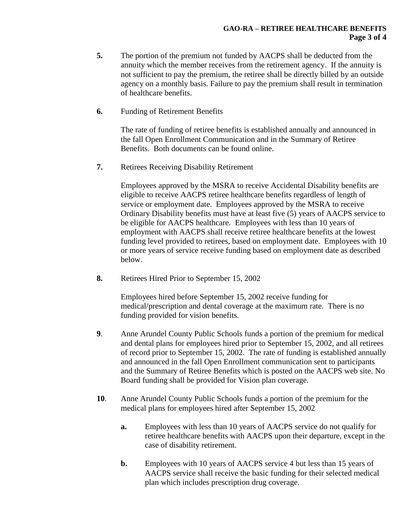- **5.** The portion of the premium not funded by AACPS shall be deducted from the annuity which the member receives from the retirement agency. If the annuity is not sufficient to pay the premium, the retiree shall be directly billed by an outside agency on a monthly basis. Failure to pay the premium shall result in termination of healthcare benefits.
- **6.** Funding of Retirement Benefits

The rate of funding of retiree benefits is established annually and announced in the fall Open Enrollment Communication and in the Summary of Retiree Benefits. Both documents can be found online.

**7.** Retirees Receiving Disability Retirement

Employees approved by the MSRA to receive Accidental Disability benefits are eligible to receive AACPS retiree healthcare benefits regardless of length of service or employment date. Employees approved by the MSRA to receive Ordinary Disability benefits must have at least five (5) years of AACPS service to be eligible for AACPS healthcare. Employees with less than 10 years of employment with AACPS shall receive retiree healthcare benefits at the lowest funding level provided to retirees, based on employment date. Employees with 10 or more years of service receive funding based on employment date as described below.

**8.** Retirees Hired Prior to September 15, 2002

Employees hired before September 15, 2002 receive funding for medical/prescription and dental coverage at the maximum rate. There is no funding provided for vision benefits.

- **9**. Anne Arundel County Public Schools funds a portion of the premium for medical and dental plans for employees hired prior to September 15, 2002, and all retirees of record prior to September 15, 2002. The rate of funding is established annually and announced in the fall Open Enrollment communication sent to participants and the Summary of Retiree Benefits which is posted on the AACPS web site. No Board funding shall be provided for Vision plan coverage.
- **10**. Anne Arundel County Public Schools funds a portion of the premium for the medical plans for employees hired after September 15, 2002
	- **a.** Employees with less than 10 years of AACPS service do not qualify for retiree healthcare benefits with AACPS upon their departure, except in the case of disability retirement.
	- **b.** Employees with 10 years of AACPS service 4 but less than 15 years of AACPS service shall receive the basic funding for their selected medical plan which includes prescription drug coverage.